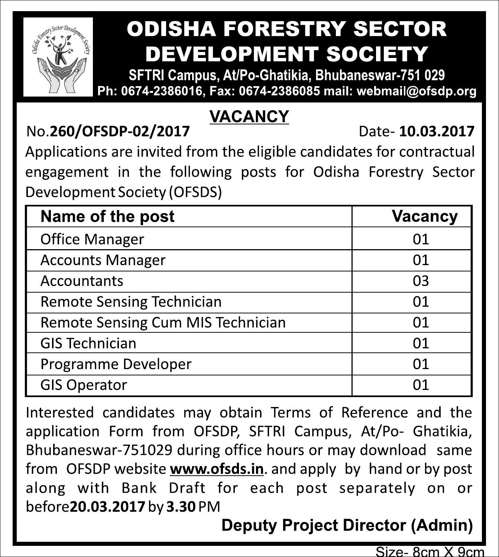

### **ODISHA FORESTRY SECTOR DEVELOPMENT SOCIETY**

SFTRI Campus, At/Po-Ghatikia, Bhubaneswar-751 029 Ph: 0674-2386016. Fax: 0674-2386085 mail: webmail@ofsdp.org

#### **VACANCY**

No.260/OFSDP-02/2017

Date-10.03.2017

Applications are invited from the eligible candidates for contractual engagement in the following posts for Odisha Forestry Sector Development Society (OFSDS)

| Name of the post                  | Vacancy |
|-----------------------------------|---------|
| <b>Office Manager</b>             | 01      |
| <b>Accounts Manager</b>           | 01      |
| Accountants                       | 03      |
| Remote Sensing Technician         | 01      |
| Remote Sensing Cum MIS Technician | 01      |
| <b>GIS Technician</b>             | 01      |
| Programme Developer               | 01      |
| <b>GIS Operator</b>               | ุก1     |

Interested candidates may obtain Terms of Reference and the application Form from OFSDP, SFTRI Campus, At/Po- Ghatikia, Bhubaneswar-751029 during office hours or may download same from OFSDP website www.ofsds.in. and apply by hand or by post along with Bank Draft for each post separately on or before 20.03.2017 by 3.30 PM

### **Deputy Project Director (Admin)**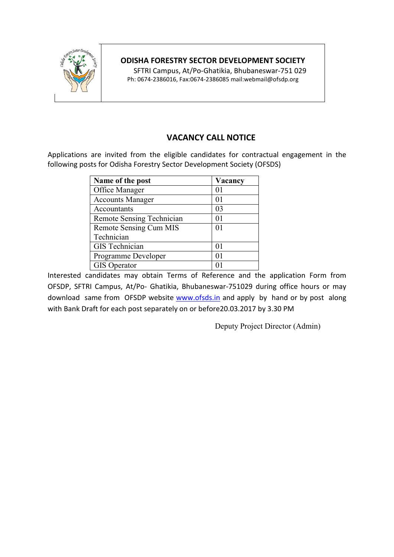

### **ODISHA FORESTRY SECTOR DEVELOPMENT SOCIETY**

 SFTRI Campus, At/Po-Ghatikia, Bhubaneswar-751 029 Ph: 0674-2386016, Fax:0674-2386085 mail:webmail@ofsdp.org

## **VACANCY CALL NOTICE**

Applications are invited from the eligible candidates for contractual engagement in the following posts for Odisha Forestry Sector Development Society (OFSDS)

| Name of the post          | Vacancy |
|---------------------------|---------|
| Office Manager            | 01      |
| <b>Accounts Manager</b>   | 01      |
| Accountants               | 03      |
| Remote Sensing Technician | 01      |
| Remote Sensing Cum MIS    | 01      |
| Technician                |         |
| <b>GIS</b> Technician     | 01      |
| Programme Developer       | 01      |
| <b>GIS</b> Operator       |         |

Interested candidates may obtain Terms of Reference and the application Form from OFSDP, SFTRI Campus, At/Po- Ghatikia, Bhubaneswar-751029 during office hours or may download same from OFSDP website www.ofsds.in and apply by hand or by post along with Bank Draft for each post separately on or before20.03.2017 by 3.30 PM

Deputy Project Director (Admin)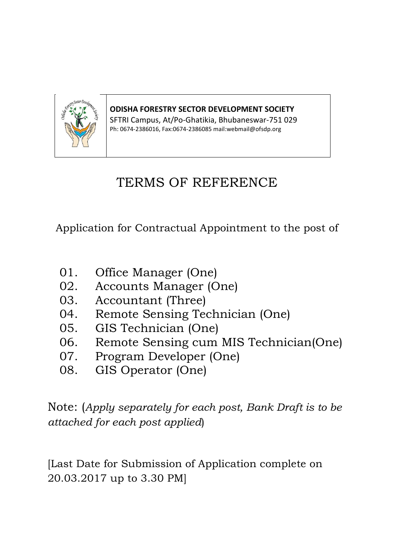

**ODISHA FORESTRY SECTOR DEVELOPMENT SOCIETY**

SFTRI Campus, At/Po-Ghatikia, Bhubaneswar-751 029 Ph: 0674-2386016, Fax:0674-2386085 mail:webmail@ofsdp.org

## TERMS OF REFERENCE

Application for Contractual Appointment to the post of

- 01. Office Manager (One)
- 02. Accounts Manager (One)
- 03. Accountant (Three)
- 04. Remote Sensing Technician (One)
- 05. GIS Technician (One)
- 06. Remote Sensing cum MIS Technician(One)
- 07. Program Developer (One)
- 08. GIS Operator (One)

Note: (*Apply separately for each post, Bank Draft is to be attached for each post applied*)

[Last Date for Submission of Application complete on 20.03.2017 up to 3.30 PM]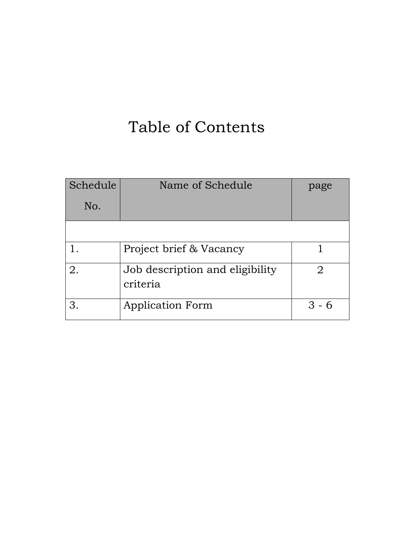# Table of Contents

| Schedule | Name of Schedule                            | page    |
|----------|---------------------------------------------|---------|
| No.      |                                             |         |
|          |                                             |         |
|          | Project brief & Vacancy                     |         |
| 2.       | Job description and eligibility<br>criteria |         |
| З.       | <b>Application Form</b>                     | $3 - 6$ |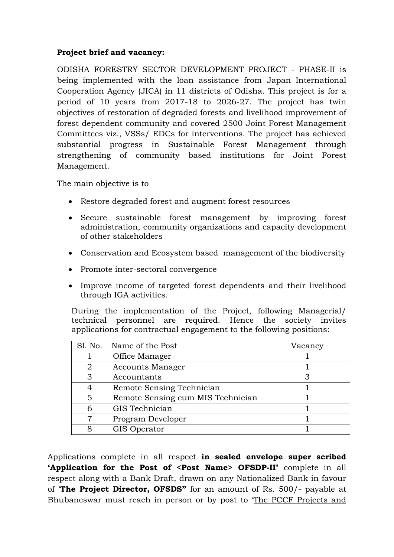### **Project brief and vacancy:**

ODISHA FORESTRY SECTOR DEVELOPMENT PROJECT - PHASE-II is being implemented with the loan assistance from Japan International Cooperation Agency (JICA) in 11 districts of Odisha. This project is for a period of 10 years from 2017-18 to 2026-27. The project has twin objectives of restoration of degraded forests and livelihood improvement of forest dependent community and covered 2500 Joint Forest Management Committees viz., VSSs/ EDCs for interventions. The project has achieved substantial progress in Sustainable Forest Management through strengthening of community based institutions for Joint Forest Management.

The main objective is to

- Restore degraded forest and augment forest resources
- Secure sustainable forest management by improving forest administration, community organizations and capacity development of other stakeholders
- Conservation and Ecosystem based management of the biodiversity
- Promote inter-sectoral convergence
- Improve income of targeted forest dependents and their livelihood through IGA activities.

During the implementation of the Project, following Managerial/ technical personnel are required. Hence the society invites applications for contractual engagement to the following positions:

| Sl. No. | Name of the Post                  | Vacancy |
|---------|-----------------------------------|---------|
|         | Office Manager                    |         |
| 2       | <b>Accounts Manager</b>           |         |
| 3       | Accountants                       |         |
|         | Remote Sensing Technician         |         |
| 5       | Remote Sensing cum MIS Technician |         |
| 6       | GIS Technician                    |         |
|         | Program Developer                 |         |
| я       | GIS Operator                      |         |

Applications complete in all respect **in sealed envelope super scribed 'Application for the Post of <Post Name> OFSDP-II'** complete in all respect along with a Bank Draft, drawn on any Nationalized Bank in favour of '**The Project Director, OFSDS"** for an amount of Rs. 500/- payable at Bhubaneswar must reach in person or by post to 'The PCCF Projects and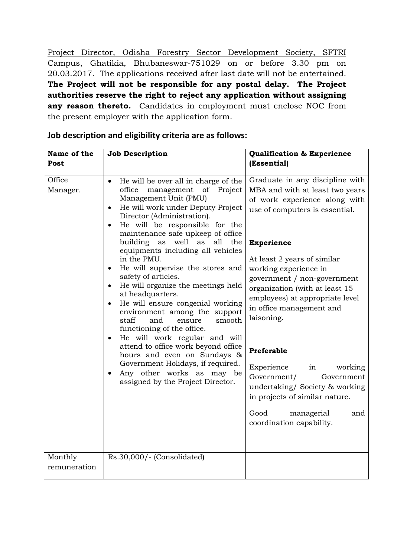Project Director, Odisha Forestry Sector Development Society, SFTRI Campus, Ghatikia, Bhubaneswar-751029 on or before 3.30 pm on 20.03.2017. The applications received after last date will not be entertained. **The Project will not be responsible for any postal delay. The Project authorities reserve the right to reject any application without assigning any reason thereto.** Candidates in employment must enclose NOC from the present employer with the application form.

| Name of the             | <b>Job Description</b>                                                                                                                                                                                                                                                                                                                                                                                                                                                                                                                                                                                                                                                                                                                                                                                                                                                                            | <b>Qualification &amp; Experience</b>                                                                                                                                                                                                                                                                                                                                                                                                                                                                                                                                   |
|-------------------------|---------------------------------------------------------------------------------------------------------------------------------------------------------------------------------------------------------------------------------------------------------------------------------------------------------------------------------------------------------------------------------------------------------------------------------------------------------------------------------------------------------------------------------------------------------------------------------------------------------------------------------------------------------------------------------------------------------------------------------------------------------------------------------------------------------------------------------------------------------------------------------------------------|-------------------------------------------------------------------------------------------------------------------------------------------------------------------------------------------------------------------------------------------------------------------------------------------------------------------------------------------------------------------------------------------------------------------------------------------------------------------------------------------------------------------------------------------------------------------------|
| Post                    |                                                                                                                                                                                                                                                                                                                                                                                                                                                                                                                                                                                                                                                                                                                                                                                                                                                                                                   | (Essential)                                                                                                                                                                                                                                                                                                                                                                                                                                                                                                                                                             |
| Office<br>Manager.      | He will be over all in charge of the<br>$\bullet$<br>management<br>of Project<br>office<br>Management Unit (PMU)<br>He will work under Deputy Project<br>$\bullet$<br>Director (Administration).<br>He will be responsible for the<br>$\bullet$<br>maintenance safe upkeep of office<br>building<br>as<br>well as all<br>the<br>equipments including all vehicles<br>in the PMU.<br>He will supervise the stores and<br>safety of articles.<br>He will organize the meetings held<br>at headquarters.<br>He will ensure congenial working<br>$\bullet$<br>environment among the support<br>staff<br>and<br>ensure<br>smooth<br>functioning of the office.<br>He will work regular and will<br>$\bullet$<br>attend to office work beyond office<br>hours and even on Sundays &<br>Government Holidays, if required.<br>Any other works as may be<br>$\bullet$<br>assigned by the Project Director. | Graduate in any discipline with<br>MBA and with at least two years<br>of work experience along with<br>use of computers is essential.<br><b>Experience</b><br>At least 2 years of similar<br>working experience in<br>government / non-government<br>organization (with at least 15<br>employees) at appropriate level<br>in office management and<br>laisoning.<br>Preferable<br>Experience<br>in<br>working<br>Government/<br>Government<br>undertaking/ Society & working<br>in projects of similar nature.<br>Good<br>managerial<br>and<br>coordination capability. |
| Monthly<br>remuneration | Rs.30,000/- (Consolidated)                                                                                                                                                                                                                                                                                                                                                                                                                                                                                                                                                                                                                                                                                                                                                                                                                                                                        |                                                                                                                                                                                                                                                                                                                                                                                                                                                                                                                                                                         |

### **Job description and eligibility criteria are as follows:**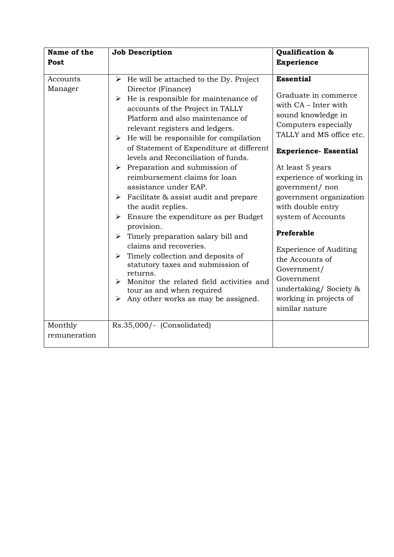| Name of the<br>Post            | <b>Job Description</b>                                                                                                                                                                                                                                                                                                                                                                                                                                                                                                                                                                                                                                                                                                                                                                                                                                                                                                                                                                            | Qualification &<br><b>Experience</b>                                                                                                                                                                                                                                                                                                                                                                                                                                                    |
|--------------------------------|---------------------------------------------------------------------------------------------------------------------------------------------------------------------------------------------------------------------------------------------------------------------------------------------------------------------------------------------------------------------------------------------------------------------------------------------------------------------------------------------------------------------------------------------------------------------------------------------------------------------------------------------------------------------------------------------------------------------------------------------------------------------------------------------------------------------------------------------------------------------------------------------------------------------------------------------------------------------------------------------------|-----------------------------------------------------------------------------------------------------------------------------------------------------------------------------------------------------------------------------------------------------------------------------------------------------------------------------------------------------------------------------------------------------------------------------------------------------------------------------------------|
| Accounts<br>Manager<br>Monthly | $\triangleright$ He will be attached to the Dy. Project<br>Director (Finance)<br>He is responsible for maintenance of<br>➤<br>accounts of the Project in TALLY<br>Platform and also maintenance of<br>relevant registers and ledgers.<br>$\triangleright$ He will be responsible for compilation<br>of Statement of Expenditure at different<br>levels and Reconciliation of funds.<br>$\triangleright$ Preparation and submission of<br>reimbursement claims for loan<br>assistance under EAP.<br>$\triangleright$ Facilitate & assist audit and prepare<br>the audit replies.<br>$\triangleright$ Ensure the expenditure as per Budget<br>provision.<br>$\triangleright$ Timely preparation salary bill and<br>claims and recoveries.<br>$\triangleright$ Timely collection and deposits of<br>statutory taxes and submission of<br>returns.<br>Monitor the related field activities and<br>tour as and when required<br>Any other works as may be assigned.<br>➤<br>Rs.35,000/- (Consolidated) | <b>Essential</b><br>Graduate in commerce<br>with CA - Inter with<br>sound knowledge in<br>Computers especially<br>TALLY and MS office etc.<br><b>Experience- Essential</b><br>At least 5 years<br>experience of working in<br>government/ non<br>government organization<br>with double entry<br>system of Accounts<br>Preferable<br><b>Experience of Auditing</b><br>the Accounts of<br>Government/<br>Government<br>undertaking/Society &<br>working in projects of<br>similar nature |
| remuneration                   |                                                                                                                                                                                                                                                                                                                                                                                                                                                                                                                                                                                                                                                                                                                                                                                                                                                                                                                                                                                                   |                                                                                                                                                                                                                                                                                                                                                                                                                                                                                         |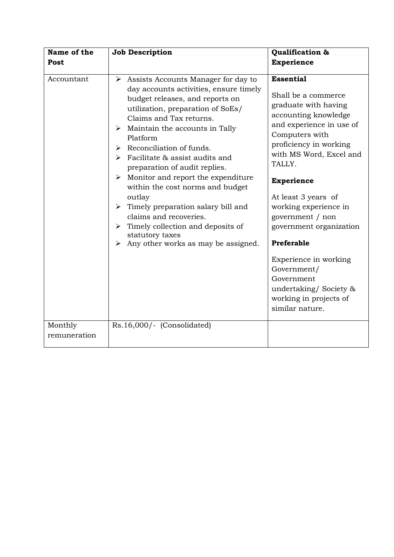| Name of the<br>Post     | <b>Job Description</b>                                                                                                                                                                                                                                                                                                                                                                                                                                                                                                                                                                                                                                                               | Qualification &<br><b>Experience</b>                                                                                                                                                                                                                                                                                                                                                                                                                               |
|-------------------------|--------------------------------------------------------------------------------------------------------------------------------------------------------------------------------------------------------------------------------------------------------------------------------------------------------------------------------------------------------------------------------------------------------------------------------------------------------------------------------------------------------------------------------------------------------------------------------------------------------------------------------------------------------------------------------------|--------------------------------------------------------------------------------------------------------------------------------------------------------------------------------------------------------------------------------------------------------------------------------------------------------------------------------------------------------------------------------------------------------------------------------------------------------------------|
| Accountant              | Assists Accounts Manager for day to<br>➤<br>day accounts activities, ensure timely<br>budget releases, and reports on<br>utilization, preparation of SoEs/<br>Claims and Tax returns.<br>$\triangleright$ Maintain the accounts in Tally<br>Platform<br>$\triangleright$ Reconciliation of funds.<br>$\triangleright$ Facilitate & assist audits and<br>preparation of audit replies.<br>$\triangleright$ Monitor and report the expenditure<br>within the cost norms and budget<br>outlay<br>$\triangleright$ Timely preparation salary bill and<br>claims and recoveries.<br>Timely collection and deposits of<br>➤<br>statutory taxes<br>Any other works as may be assigned.<br>⋗ | <b>Essential</b><br>Shall be a commerce<br>graduate with having<br>accounting knowledge<br>and experience in use of<br>Computers with<br>proficiency in working<br>with MS Word, Excel and<br>TALLY.<br><b>Experience</b><br>At least 3 years of<br>working experience in<br>government / non<br>government organization<br>Preferable<br>Experience in working<br>Government/<br>Government<br>undertaking/Society &<br>working in projects of<br>similar nature. |
| Monthly<br>remuneration | Rs.16,000/- (Consolidated)                                                                                                                                                                                                                                                                                                                                                                                                                                                                                                                                                                                                                                                           |                                                                                                                                                                                                                                                                                                                                                                                                                                                                    |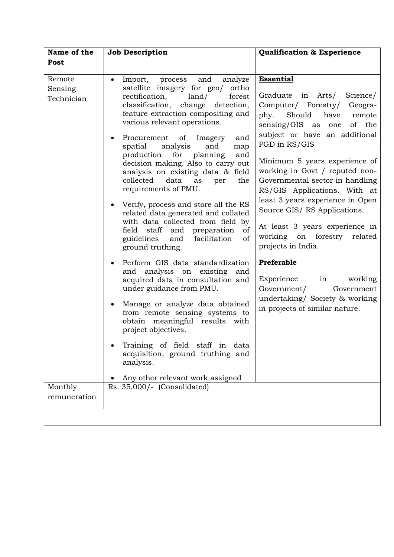| Name of the                     | <b>Job Description</b>                                                                                                                                                                                                                                                                                                                                                                                                                                                                                                                                                                                                                                                                                                           | <b>Qualification &amp; Experience</b>                                                                                                                                                                                                                                                                                                                                                                                                                                                                     |
|---------------------------------|----------------------------------------------------------------------------------------------------------------------------------------------------------------------------------------------------------------------------------------------------------------------------------------------------------------------------------------------------------------------------------------------------------------------------------------------------------------------------------------------------------------------------------------------------------------------------------------------------------------------------------------------------------------------------------------------------------------------------------|-----------------------------------------------------------------------------------------------------------------------------------------------------------------------------------------------------------------------------------------------------------------------------------------------------------------------------------------------------------------------------------------------------------------------------------------------------------------------------------------------------------|
| Post                            |                                                                                                                                                                                                                                                                                                                                                                                                                                                                                                                                                                                                                                                                                                                                  |                                                                                                                                                                                                                                                                                                                                                                                                                                                                                                           |
| Remote<br>Sensing<br>Technician | Import, process<br>and<br>analyze<br>$\bullet$<br>satellite imagery for geo/<br>ortho<br>rectification,<br>land/<br>forest<br>detection,<br>classification, change<br>feature extraction compositing and<br>various relevant operations.<br>Procurement of Imagery<br>and<br>analysis<br>and<br>spatial<br>map<br>planning<br>production<br>for<br>and<br>decision making. Also to carry out<br>analysis on existing data & field<br>collected<br>data<br>the<br>as<br>per<br>requirements of PMU.<br>Verify, process and store all the RS<br>related data generated and collated<br>with data collected from field by<br>staff<br>and preparation<br>field<br>of<br>guidelines<br>facilitation<br>and<br>of<br>ground truthing. | <b>Essential</b><br>Graduate in Arts/<br>Science/<br>Computer/ Forestry/<br>Geogra-<br>Should<br>phy.<br>have<br>remote<br>sensing/GIS as one<br>of the<br>subject or have an additional<br>PGD in RS/GIS<br>Minimum 5 years experience of<br>working in Govt / reputed non-<br>Governmental sector in handling<br>RS/GIS Applications. With at<br>least 3 years experience in Open<br>Source GIS/RS Applications.<br>At least 3 years experience in<br>working on forestry related<br>projects in India. |
|                                 | Perform GIS data standardization<br>$\bullet$<br>and analysis on existing and<br>acquired data in consultation and<br>under guidance from PMU.<br>Manage or analyze data obtained<br>from remote sensing systems to<br>obtain meaningful results with<br>project objectives.<br>Training of field staff in data<br>acquisition, ground truthing and<br>analysis.<br>Any other relevant work assigned                                                                                                                                                                                                                                                                                                                             | Preferable<br>Experience in working<br>Government/<br>Government<br>undertaking/ Society & working<br>in projects of similar nature.                                                                                                                                                                                                                                                                                                                                                                      |
| Monthly                         | Rs. 35,000/- (Consolidated)                                                                                                                                                                                                                                                                                                                                                                                                                                                                                                                                                                                                                                                                                                      |                                                                                                                                                                                                                                                                                                                                                                                                                                                                                                           |
| remuneration                    |                                                                                                                                                                                                                                                                                                                                                                                                                                                                                                                                                                                                                                                                                                                                  |                                                                                                                                                                                                                                                                                                                                                                                                                                                                                                           |
|                                 |                                                                                                                                                                                                                                                                                                                                                                                                                                                                                                                                                                                                                                                                                                                                  |                                                                                                                                                                                                                                                                                                                                                                                                                                                                                                           |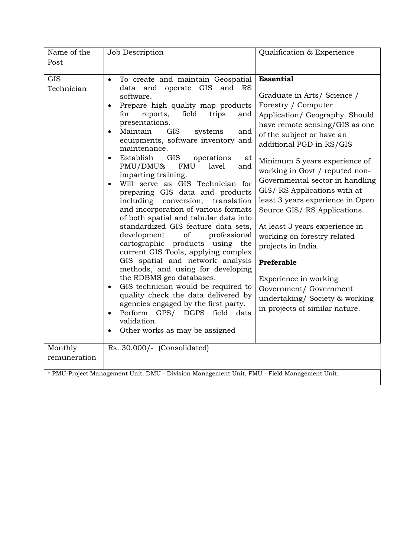| Name of the                                                                                 | Job Description                                                                                                                                                                                                                                                                                                                                                                                                                                                                                                                                                                                                                                                                                                                                                                                                                                                                                                                                                                                                                                                                                                                                                  | Qualification & Experience                                                                                                                                                                                                                                                                                                                                                                                                                                                                                                                                                                                                             |
|---------------------------------------------------------------------------------------------|------------------------------------------------------------------------------------------------------------------------------------------------------------------------------------------------------------------------------------------------------------------------------------------------------------------------------------------------------------------------------------------------------------------------------------------------------------------------------------------------------------------------------------------------------------------------------------------------------------------------------------------------------------------------------------------------------------------------------------------------------------------------------------------------------------------------------------------------------------------------------------------------------------------------------------------------------------------------------------------------------------------------------------------------------------------------------------------------------------------------------------------------------------------|----------------------------------------------------------------------------------------------------------------------------------------------------------------------------------------------------------------------------------------------------------------------------------------------------------------------------------------------------------------------------------------------------------------------------------------------------------------------------------------------------------------------------------------------------------------------------------------------------------------------------------------|
| Post                                                                                        |                                                                                                                                                                                                                                                                                                                                                                                                                                                                                                                                                                                                                                                                                                                                                                                                                                                                                                                                                                                                                                                                                                                                                                  |                                                                                                                                                                                                                                                                                                                                                                                                                                                                                                                                                                                                                                        |
|                                                                                             |                                                                                                                                                                                                                                                                                                                                                                                                                                                                                                                                                                                                                                                                                                                                                                                                                                                                                                                                                                                                                                                                                                                                                                  |                                                                                                                                                                                                                                                                                                                                                                                                                                                                                                                                                                                                                                        |
| <b>GIS</b><br>Technician<br>Monthly<br>remuneration                                         | To create and maintain Geospatial<br>$\bullet$<br>data and operate GIS<br>and RS<br>software.<br>Prepare high quality map products<br>$\bullet$<br>trips<br>for<br>reports,<br>field<br>and<br>presentations.<br>Maintain<br><b>GIS</b><br>systems<br>and<br>equipments, software inventory and<br>maintenance.<br><b>GIS</b><br>Establish<br>operations<br>at<br>PMU/DMU&<br><b>FMU</b><br>lavel<br>and<br>imparting training.<br>Will serve as GIS Technician for<br>preparing GIS data and products<br>including<br>conversion,<br>translation<br>and incorporation of various formats<br>of both spatial and tabular data into<br>standardized GIS feature data sets,<br>development<br>of<br>professional<br>cartographic products using<br>the<br>current GIS Tools, applying complex<br>GIS spatial and network analysis<br>methods, and using for developing<br>the RDBMS geo databases.<br>GIS technician would be required to<br>$\bullet$<br>quality check the data delivered by<br>agencies engaged by the first party.<br>Perform GPS/ DGPS field data<br>$\bullet$<br>validation.<br>Other works as may be assigned<br>Rs. 30,000/- (Consolidated) | <b>Essential</b><br>Graduate in Arts/ Science /<br>Forestry / Computer<br>Application/ Geography. Should<br>have remote sensing/GIS as one<br>of the subject or have an<br>additional PGD in RS/GIS<br>Minimum 5 years experience of<br>working in Govt / reputed non-<br>Governmental sector in handling<br>GIS/RS Applications with at<br>least 3 years experience in Open<br>Source GIS/RS Applications.<br>At least 3 years experience in<br>working on forestry related<br>projects in India.<br>Preferable<br>Experience in working<br>Government/ Government<br>undertaking/Society & working<br>in projects of similar nature. |
|                                                                                             |                                                                                                                                                                                                                                                                                                                                                                                                                                                                                                                                                                                                                                                                                                                                                                                                                                                                                                                                                                                                                                                                                                                                                                  |                                                                                                                                                                                                                                                                                                                                                                                                                                                                                                                                                                                                                                        |
| * PMU-Project Management Unit, DMU - Division Management Unit, FMU - Field Management Unit. |                                                                                                                                                                                                                                                                                                                                                                                                                                                                                                                                                                                                                                                                                                                                                                                                                                                                                                                                                                                                                                                                                                                                                                  |                                                                                                                                                                                                                                                                                                                                                                                                                                                                                                                                                                                                                                        |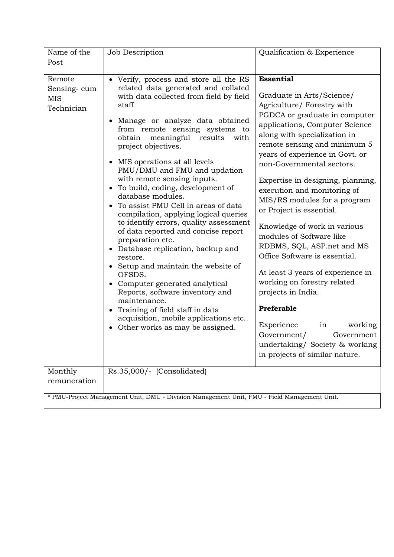| Name of the<br>Post                                                                         | Job Description                                                                                                                                                                                                                                                                                                                                                                                                                                                                                                                                                                                                                                                                                                                                                                                                                                                                                                                           | Qualification & Experience                                                                                                                                                                                                                                                                                                                                                                                                                                                                                                                                                                                                                                                                                                                                                        |
|---------------------------------------------------------------------------------------------|-------------------------------------------------------------------------------------------------------------------------------------------------------------------------------------------------------------------------------------------------------------------------------------------------------------------------------------------------------------------------------------------------------------------------------------------------------------------------------------------------------------------------------------------------------------------------------------------------------------------------------------------------------------------------------------------------------------------------------------------------------------------------------------------------------------------------------------------------------------------------------------------------------------------------------------------|-----------------------------------------------------------------------------------------------------------------------------------------------------------------------------------------------------------------------------------------------------------------------------------------------------------------------------------------------------------------------------------------------------------------------------------------------------------------------------------------------------------------------------------------------------------------------------------------------------------------------------------------------------------------------------------------------------------------------------------------------------------------------------------|
| Remote<br>Sensing-cum<br><b>MIS</b><br>Technician                                           | • Verify, process and store all the RS<br>related data generated and collated<br>with data collected from field by field<br>staff<br>Manage or analyze data obtained<br>from remote sensing systems to<br>obtain<br>meaningful<br>results<br>with<br>project objectives.<br>MIS operations at all levels<br>PMU/DMU and FMU and updation<br>with remote sensing inputs.<br>• To build, coding, development of<br>database modules.<br>To assist PMU Cell in areas of data<br>compilation, applying logical queries<br>to identify errors, quality assessment<br>of data reported and concise report<br>preparation etc.<br>Database replication, backup and<br>$\bullet$<br>restore.<br>Setup and maintain the website of<br>OFSDS.<br>• Computer generated analytical<br>Reports, software inventory and<br>maintenance.<br>Training of field staff in data<br>acquisition, mobile applications etc<br>• Other works as may be assigned. | <b>Essential</b><br>Graduate in Arts/Science/<br>Agriculture/ Forestry with<br>PGDCA or graduate in computer<br>applications, Computer Science<br>along with specialization in<br>remote sensing and minimum 5<br>years of experience in Govt. or<br>non-Governmental sectors.<br>Expertise in designing, planning,<br>execution and monitoring of<br>MIS/RS modules for a program<br>or Project is essential.<br>Knowledge of work in various<br>modules of Software like<br>RDBMS, SQL, ASP.net and MS<br>Office Software is essential.<br>At least 3 years of experience in<br>working on forestry related<br>projects in India.<br>Preferable<br>Experience<br>in<br>working<br>Government/<br>Government<br>undertaking/ Society & working<br>in projects of similar nature. |
| Monthly<br>remuneration                                                                     | Rs.35,000/- (Consolidated)                                                                                                                                                                                                                                                                                                                                                                                                                                                                                                                                                                                                                                                                                                                                                                                                                                                                                                                |                                                                                                                                                                                                                                                                                                                                                                                                                                                                                                                                                                                                                                                                                                                                                                                   |
| * PMU-Project Management Unit, DMU - Division Management Unit, FMU - Field Management Unit. |                                                                                                                                                                                                                                                                                                                                                                                                                                                                                                                                                                                                                                                                                                                                                                                                                                                                                                                                           |                                                                                                                                                                                                                                                                                                                                                                                                                                                                                                                                                                                                                                                                                                                                                                                   |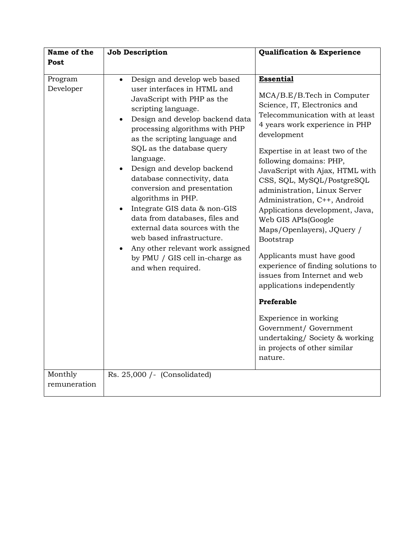| Name of the             | <b>Job Description</b>                                                                                                                                                                                                                                                                                                                                                                                                                                                                                                                                                                                                       | Qualification & Experience                                                                                                                                                                                                                                                                                                                                                                                                                                                                                                                                                                                                                                                                                                                            |
|-------------------------|------------------------------------------------------------------------------------------------------------------------------------------------------------------------------------------------------------------------------------------------------------------------------------------------------------------------------------------------------------------------------------------------------------------------------------------------------------------------------------------------------------------------------------------------------------------------------------------------------------------------------|-------------------------------------------------------------------------------------------------------------------------------------------------------------------------------------------------------------------------------------------------------------------------------------------------------------------------------------------------------------------------------------------------------------------------------------------------------------------------------------------------------------------------------------------------------------------------------------------------------------------------------------------------------------------------------------------------------------------------------------------------------|
| Post                    |                                                                                                                                                                                                                                                                                                                                                                                                                                                                                                                                                                                                                              |                                                                                                                                                                                                                                                                                                                                                                                                                                                                                                                                                                                                                                                                                                                                                       |
| Program<br>Developer    | Design and develop web based<br>$\bullet$<br>user interfaces in HTML and<br>JavaScript with PHP as the<br>scripting language.<br>Design and develop backend data<br>processing algorithms with PHP<br>as the scripting language and<br>SQL as the database query<br>language.<br>Design and develop backend<br>database connectivity, data<br>conversion and presentation<br>algorithms in PHP.<br>Integrate GIS data & non-GIS<br>data from databases, files and<br>external data sources with the<br>web based infrastructure.<br>Any other relevant work assigned<br>by PMU / GIS cell in-charge as<br>and when required. | <b>Essential</b><br>MCA/B.E/B.Tech in Computer<br>Science, IT, Electronics and<br>Telecommunication with at least<br>4 years work experience in PHP<br>development<br>Expertise in at least two of the<br>following domains: PHP,<br>JavaScript with Ajax, HTML with<br>CSS, SQL, MySQL/PostgreSQL<br>administration, Linux Server<br>Administration, C++, Android<br>Applications development, Java,<br>Web GIS APIs(Google<br>Maps/Openlayers), JQuery /<br>Bootstrap<br>Applicants must have good<br>experience of finding solutions to<br>issues from Internet and web<br>applications independently<br>Preferable<br>Experience in working<br>Government/ Government<br>undertaking/Society & working<br>in projects of other similar<br>nature. |
| Monthly<br>remuneration | Rs. 25,000 /- (Consolidated)                                                                                                                                                                                                                                                                                                                                                                                                                                                                                                                                                                                                 |                                                                                                                                                                                                                                                                                                                                                                                                                                                                                                                                                                                                                                                                                                                                                       |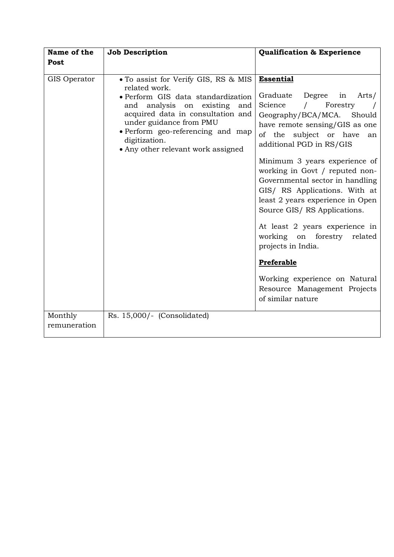| Name of the<br>Post     | <b>Job Description</b>                                                                                                                                                                                                                                                                     | <b>Qualification &amp; Experience</b>                                                                                                                                                                                                                                                                                                                                                                                                                                                                                                                                                                  |
|-------------------------|--------------------------------------------------------------------------------------------------------------------------------------------------------------------------------------------------------------------------------------------------------------------------------------------|--------------------------------------------------------------------------------------------------------------------------------------------------------------------------------------------------------------------------------------------------------------------------------------------------------------------------------------------------------------------------------------------------------------------------------------------------------------------------------------------------------------------------------------------------------------------------------------------------------|
| GIS Operator            | . To assist for Verify GIS, RS & MIS<br>related work.<br>· Perform GIS data standardization<br>analysis on existing and<br>and<br>acquired data in consultation and<br>under guidance from PMU<br>• Perform geo-referencing and map<br>digitization.<br>• Any other relevant work assigned | <b>Essential</b><br>Graduate Degree in<br>Arts/<br>Science<br>Forestry<br>Geography/BCA/MCA. Should<br>have remote sensing/GIS as one<br>of the subject or have<br>an<br>additional PGD in RS/GIS<br>Minimum 3 years experience of<br>working in Govt / reputed non-<br>Governmental sector in handling<br>GIS/ RS Applications. With at<br>least 2 years experience in Open<br>Source GIS/RS Applications.<br>At least 2 years experience in<br>working on forestry related<br>projects in India.<br>Preferable<br>Working experience on Natural<br>Resource Management Projects<br>of similar nature |
| Monthly<br>remuneration | Rs. 15,000/- (Consolidated)                                                                                                                                                                                                                                                                |                                                                                                                                                                                                                                                                                                                                                                                                                                                                                                                                                                                                        |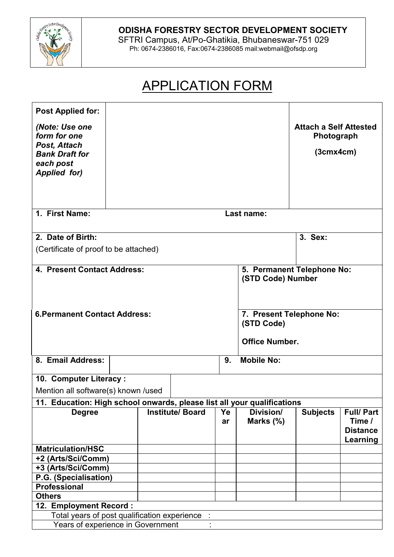

## **ODISHA FORESTRY SECTOR DEVELOPMENT SOCIETY**

SFTRI Campus, At/Po-Ghatikia, Bhubaneswar-751 029 Ph: 0674-2386016, Fax:0674-2386085 mail:webmail@ofsdp.org

# APPLICATION FORM

| <b>Post Applied for:</b><br>(Note: Use one<br>form for one<br>Post, Attach<br><b>Bank Draft for</b><br>each post<br><b>Applied for)</b> |            |  |                        |          |                                                                 | <b>Attach a Self Attested</b><br>Photograph<br>(3cmx4cm) |                                                           |  |
|-----------------------------------------------------------------------------------------------------------------------------------------|------------|--|------------------------|----------|-----------------------------------------------------------------|----------------------------------------------------------|-----------------------------------------------------------|--|
| 1. First Name:                                                                                                                          |            |  |                        |          |                                                                 |                                                          |                                                           |  |
|                                                                                                                                         | Last name: |  |                        |          |                                                                 |                                                          |                                                           |  |
| 2. Date of Birth:<br>(Certificate of proof to be attached)                                                                              |            |  |                        |          |                                                                 | 3. Sex:                                                  |                                                           |  |
| 4. Present Contact Address:                                                                                                             |            |  |                        |          | 5. Permanent Telephone No:<br>(STD Code) Number                 |                                                          |                                                           |  |
| <b>6. Permanent Contact Address:</b>                                                                                                    |            |  |                        |          | 7. Present Telephone No:<br>(STD Code)<br><b>Office Number.</b> |                                                          |                                                           |  |
| 8. Email Address:                                                                                                                       | 9.         |  |                        |          | <b>Mobile No:</b>                                               |                                                          |                                                           |  |
| 10. Computer Literacy:                                                                                                                  |            |  |                        |          |                                                                 |                                                          |                                                           |  |
| Mention all software(s) known /used                                                                                                     |            |  |                        |          |                                                                 |                                                          |                                                           |  |
| 11. Education: High school onwards, please list all your qualifications                                                                 |            |  |                        |          |                                                                 |                                                          |                                                           |  |
| <b>Degree</b>                                                                                                                           |            |  | <b>Institute/Board</b> | Ye<br>ar | Division/<br>Marks (%)                                          | <b>Subjects</b>                                          | <b>Full/Part</b><br>Time /<br><b>Distance</b><br>Learning |  |
| <b>Matriculation/HSC</b>                                                                                                                |            |  |                        |          |                                                                 |                                                          |                                                           |  |
| +2 (Arts/Sci/Comm)                                                                                                                      |            |  |                        |          |                                                                 |                                                          |                                                           |  |
| +3 (Arts/Sci/Comm)                                                                                                                      |            |  |                        |          |                                                                 |                                                          |                                                           |  |
| P.G. (Specialisation)                                                                                                                   |            |  |                        |          |                                                                 |                                                          |                                                           |  |
| <b>Professional</b>                                                                                                                     |            |  |                        |          |                                                                 |                                                          |                                                           |  |
| <b>Others</b>                                                                                                                           |            |  |                        |          |                                                                 |                                                          |                                                           |  |
| 12. Employment Record:                                                                                                                  |            |  |                        |          |                                                                 |                                                          |                                                           |  |
| Total years of post qualification experience                                                                                            |            |  |                        |          |                                                                 |                                                          |                                                           |  |
| Years of experience in Government                                                                                                       |            |  |                        |          |                                                                 |                                                          |                                                           |  |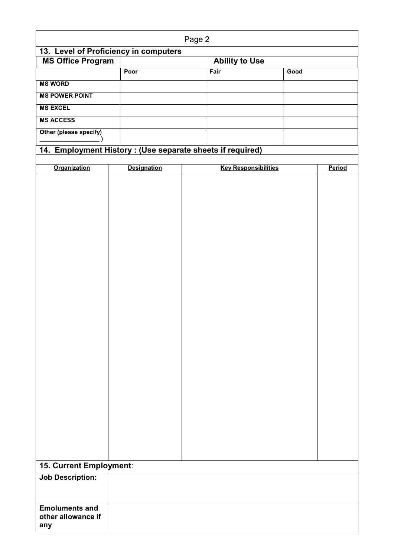| Page 2                                                    |                    |                               |                             |      |        |  |
|-----------------------------------------------------------|--------------------|-------------------------------|-----------------------------|------|--------|--|
| 13. Level of Proficiency in computers                     |                    |                               |                             |      |        |  |
| <b>MS Office Program</b>                                  |                    | <b>Ability to Use</b><br>Fair |                             |      |        |  |
|                                                           | Poor               |                               |                             | Good |        |  |
| <b>MS WORD</b>                                            |                    |                               |                             |      |        |  |
| <b>MS POWER POINT</b>                                     |                    |                               |                             |      |        |  |
| <b>MS EXCEL</b>                                           |                    |                               |                             |      |        |  |
| <b>MS ACCESS</b>                                          |                    |                               |                             |      |        |  |
| Other (please specify)                                    |                    |                               |                             |      |        |  |
| 14. Employment History: (Use separate sheets if required) |                    |                               |                             |      |        |  |
|                                                           |                    |                               |                             |      |        |  |
| <b>Organization</b>                                       | <b>Designation</b> |                               | <b>Key Responsibilities</b> |      | Period |  |
|                                                           |                    |                               |                             |      |        |  |
|                                                           |                    |                               |                             |      |        |  |
|                                                           |                    |                               |                             |      |        |  |
|                                                           |                    |                               |                             |      |        |  |
|                                                           |                    |                               |                             |      |        |  |
|                                                           |                    |                               |                             |      |        |  |
|                                                           |                    |                               |                             |      |        |  |
|                                                           |                    |                               |                             |      |        |  |
|                                                           |                    |                               |                             |      |        |  |
|                                                           |                    |                               |                             |      |        |  |
|                                                           |                    |                               |                             |      |        |  |
|                                                           |                    |                               |                             |      |        |  |
|                                                           |                    |                               |                             |      |        |  |
|                                                           |                    |                               |                             |      |        |  |
|                                                           |                    |                               |                             |      |        |  |
|                                                           |                    |                               |                             |      |        |  |
|                                                           |                    |                               |                             |      |        |  |
|                                                           |                    |                               |                             |      |        |  |
|                                                           |                    |                               |                             |      |        |  |
|                                                           |                    |                               |                             |      |        |  |
|                                                           |                    |                               |                             |      |        |  |
|                                                           |                    |                               |                             |      |        |  |
|                                                           |                    |                               |                             |      |        |  |
|                                                           |                    |                               |                             |      |        |  |
|                                                           |                    |                               |                             |      |        |  |
|                                                           |                    |                               |                             |      |        |  |
| 15. Current Employment:                                   |                    |                               |                             |      |        |  |
| <b>Job Description:</b>                                   |                    |                               |                             |      |        |  |
|                                                           |                    |                               |                             |      |        |  |
|                                                           |                    |                               |                             |      |        |  |
| <b>Emoluments and</b><br>other allowance if<br>any        |                    |                               |                             |      |        |  |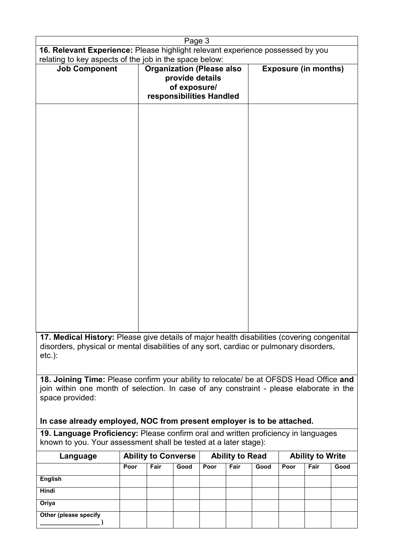| Page 3                                                                                                                                                                                |                                                                                                 |                             |  |  |  |  |
|---------------------------------------------------------------------------------------------------------------------------------------------------------------------------------------|-------------------------------------------------------------------------------------------------|-----------------------------|--|--|--|--|
| 16. Relevant Experience: Please highlight relevant experience possessed by you                                                                                                        |                                                                                                 |                             |  |  |  |  |
| relating to key aspects of the job in the space below:                                                                                                                                |                                                                                                 |                             |  |  |  |  |
| <b>Job Component</b>                                                                                                                                                                  | <b>Organization (Please also</b><br>provide details<br>of exposure/<br>responsibilities Handled | <b>Exposure (in months)</b> |  |  |  |  |
|                                                                                                                                                                                       |                                                                                                 |                             |  |  |  |  |
|                                                                                                                                                                                       |                                                                                                 |                             |  |  |  |  |
|                                                                                                                                                                                       |                                                                                                 |                             |  |  |  |  |
|                                                                                                                                                                                       |                                                                                                 |                             |  |  |  |  |
|                                                                                                                                                                                       |                                                                                                 |                             |  |  |  |  |
|                                                                                                                                                                                       |                                                                                                 |                             |  |  |  |  |
|                                                                                                                                                                                       |                                                                                                 |                             |  |  |  |  |
|                                                                                                                                                                                       |                                                                                                 |                             |  |  |  |  |
| 17. Medical History: Please give details of major health disabilities (covering congenital<br>disorders, physical or mental disabilities of any sort, cardiac or pulmonary disorders, |                                                                                                 |                             |  |  |  |  |
|                                                                                                                                                                                       |                                                                                                 |                             |  |  |  |  |

etc.):

**18. Joining Time:** Please confirm your ability to relocate/ be at OFSDS Head Office **and** join within one month of selection. In case of any constraint - please elaborate in the space provided:

### **In case already employed, NOC from present employer is to be attached.**

**19. Language Proficiency:** Please confirm oral and written proficiency in languages known to you. Your assessment shall be tested at a later stage):

| Language              | <b>Ability to Converse</b> |      | <b>Ability to Read</b> |      |      | <b>Ability to Write</b> |      |      |      |
|-----------------------|----------------------------|------|------------------------|------|------|-------------------------|------|------|------|
|                       | Poor                       | Fair | Good                   | Poor | Fair | Good                    | Poor | Fair | Good |
| <b>English</b>        |                            |      |                        |      |      |                         |      |      |      |
| <b>Hindi</b>          |                            |      |                        |      |      |                         |      |      |      |
| Oriya                 |                            |      |                        |      |      |                         |      |      |      |
| Other (please specify |                            |      |                        |      |      |                         |      |      |      |